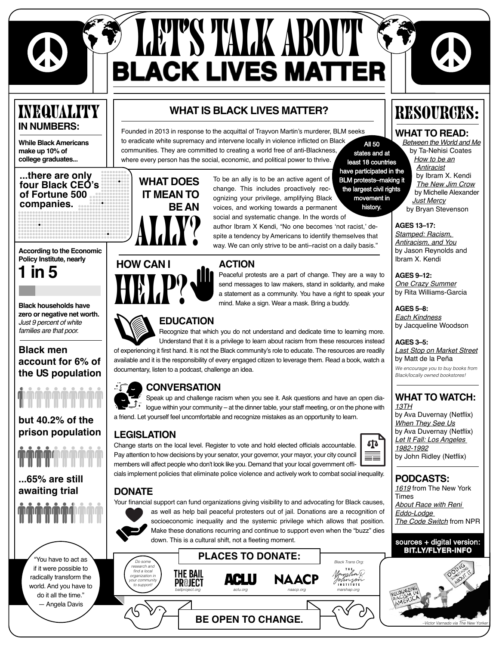

# **SEART'S TALK ABOUT S<br>BLACK LIVES MATTER**

### Inequality **IN NUMBERS:**

**[While Black Americans](https://www.nbcnews.com/news/nbcblk/blacks-corporate-america-still-largely-invisible-study-finds-n1098981)  [make up 10% of](https://www.nbcnews.com/news/nbcblk/blacks-corporate-america-still-largely-invisible-study-finds-n1098981)  [college graduates...](https://www.nbcnews.com/news/nbcblk/blacks-corporate-america-still-largely-invisible-study-finds-n1098981)**

**...[there are only](https://fortune.com/2020/06/01/black-ceos-fortune-500-2020-african-american-business-leaders/)  [four Black CEO's](https://fortune.com/2020/06/01/black-ceos-fortune-500-2020-african-american-business-leaders/) [of Fortune 500](https://fortune.com/2020/06/01/black-ceos-fortune-500-2020-african-american-business-leaders/)  [companies.](https://fortune.com/2020/06/01/black-ceos-fortune-500-2020-african-american-business-leaders/)**

**[According to the Economic](https://www.nytimes.com/interactive/2019/08/14/magazine/racial-wealth-gap.html)  [Policy Institute, nearly](https://www.nytimes.com/interactive/2019/08/14/magazine/racial-wealth-gap.html)**

**[1 in 5](https://www.nytimes.com/interactive/2019/08/14/magazine/racial-wealth-gap.html)**

**[Black households have](https://www.nytimes.com/interactive/2019/08/14/magazine/racial-wealth-gap.html)  [zero or negative net worth.](https://www.nytimes.com/interactive/2019/08/14/magazine/racial-wealth-gap.html)** *[Just 9 percent of white](https://www.nytimes.com/interactive/2019/08/14/magazine/racial-wealth-gap.html)  [families are that poor.](https://www.nytimes.com/interactive/2019/08/14/magazine/racial-wealth-gap.html)* 

### **[Black men](https://www.reuters.com/article/us-film-13th-avaduvernay-idUSKCN1241RF)  [account for 6% of](https://www.reuters.com/article/us-film-13th-avaduvernay-idUSKCN1241RF)  [the US population](https://www.reuters.com/article/us-film-13th-avaduvernay-idUSKCN1241RF)**

**[but 40.2% of the](https://www.reuters.com/article/us-film-13th-avaduvernay-idUSKCN1241RF)  [prison population](https://www.reuters.com/article/us-film-13th-avaduvernay-idUSKCN1241RF)**

# **MAMMAMMA**

**[...65% are still](https://www.prisonpolicy.org/blog/2019/10/09/pretrial_race/)  [awaiting trial](https://www.prisonpolicy.org/blog/2019/10/09/pretrial_race/)**

"You have to act as if it were possible to radically transform the world. And you have to do it all the time." ― Angela Davis

### **[WHAT IS BLACK LIVES MATTER?](https://blacklivesmatter.com/)**

[Founded in 2013 in response to the acquittal of Trayvon Martin's murderer, BLM seeks](https://blacklivesmatter.com/)  [to eradicate white supremacy and intervene locally in violence inflicted on Black](https://blacklivesmatter.com/)  **All 50** [communities. They are committed to creating a world free of anti-Blackness,](https://blacklivesmatter.com/)  states and at [where every person has the social, economic, and political power to thrive.](https://blacklivesmatter.com/)  least 18 countries



**HOW CAN I**

have participated in the<br>BLM protests—making it<br>the largest civil rights To be an ally is to be an active agent of change. This includes proactively recognizing your privilege, amplifying Black movement in history. voices, and working towards a permanent social and systematic change. In the words of

author Ibram X Kendi, "No one becomes 'not racist,' despite a tendency by Americans to identify themselves that way. We can only strive to be anti–racist on a daily basis."

### **ACTION**

Peaceful protests are a part of change. They are a way to send messages to law makers, stand in solidarity, and make a statement as a community. You have a right to speak your mind. Make a sign. Wear a mask. Bring a buddy.

### **EDUCATION**

Recognize that which you do not understand and dedicate time to learning more.

of experiencing it first hand. It is not the Black community's role to educate. The resources are readily available and it is the responsibility of every engaged citizen to leverage them. Read a book, watch a documentary, listen to a podcast, challenge an idea.

### **CONVERSATION**

 $\bigcup$ . logue within your community – at the dinner table, your staff meeting, or on the phone with a friend. Let yourself feel uncomfortable and recognize mistakes as an opportunity to learn.

### **LEGISLATION**



**PODCASTS:**

[by John Ridley \(Netflix\)](https://www.nytimes.com/2017/04/20/movies/let-it-fall-review-john-ridley.html)

*1619* [from The New York](https://www.nytimes.com/2020/01/23/podcasts/1619-podcast.html)  [Times](https://www.nytimes.com/2020/01/23/podcasts/1619-podcast.html) *[About Race with Reni](https://www.aboutracepodcast.com/)  [Eddo-Lodge](https://www.aboutracepodcast.com/) [The Code Switch](https://www.npr.org/podcasts/510312/codeswitch)* from NPR

RESOURCES:

**WHAT TO READ:** *[Between the World and Me](https://www.nytimes.com/2015/08/17/books/review/ta-nehisi-coates-between-the-world-and-me.html)* [by Ta-Nehisi Coates](https://www.nytimes.com/2015/08/17/books/review/ta-nehisi-coates-between-the-world-and-me.html)  *[How to be an](https://www.nytimes.com/2019/08/20/books/review/how-to-be-an-antiracist-ibram-x-kendi.html) [Antiracist](https://www.nytimes.com/2019/08/20/books/review/how-to-be-an-antiracist-ibram-x-kendi.html)* [by Ibram X. Kendi](https://www.nytimes.com/2019/08/20/books/review/how-to-be-an-antiracist-ibram-x-kendi.html)  *The New Jim Crow* [by Michelle Alexander](https://www.nytimes.com/2018/01/18/us/new-jim-crow-book-ban-prison.html) 

> *[Just Mercy](https://www.nytimes.com/2014/10/19/books/review/just-mercy-by-bryan-stevenson.html)* [by Bryan Stevenson](https://www.nytimes.com/2014/10/19/books/review/just-mercy-by-bryan-stevenson.html)

**AGES 13–17:** *[Stamped: Racism,](https://www.npr.org/2020/03/14/814630039/a-history-book-that-isnt-finding-a-way-to-teach-racism-to-a-new-generation)  [Antiracism, and You](https://www.npr.org/2020/03/14/814630039/a-history-book-that-isnt-finding-a-way-to-teach-racism-to-a-new-generation)* [by Jason Reynolds](https://www.npr.org/2020/03/14/814630039/a-history-book-that-isnt-finding-a-way-to-teach-racism-to-a-new-generation) and Ibram X. Kendi

**AGES 9–12:** *[One Crazy Summer](https://www.nytimes.com/2010/01/17/books/review/Edinger-t.html)* [by Rita Williams-Garcia](https://www.nytimes.com/2010/01/17/books/review/Edinger-t.html) 

**AGES 5–8:** *[Each Kindness](https://www.goodreads.com/book/show/13588082-each-kindness)* [by Jacqueline Woodson](https://www.goodreads.com/book/show/13588082-each-kindness)

**AGES 3–5:**

*[13TH](https://www.nytimes.com/2016/09/30/movies/13th-review-ava-duvernay.html)*

*[1982-1992](https://www.nytimes.com/2017/04/20/movies/let-it-fall-review-john-ridley.html)*

*[Last Stop on Market Street](https://www.goodreads.com/book/show/22521973-last-stop-on-market-street)* [by Matt de la Peña](https://www.goodreads.com/book/show/22521973-last-stop-on-market-street) *We encourage you to buy books from Black/locally owned bookstores!* 

**WHAT TO WATCH:**

[by Ava Duvernay \(Netflix\)](https://www.nytimes.com/2016/09/30/movies/13th-review-ava-duvernay.html) *[When They See Us](https://www.theatlantic.com/entertainment/archive/2019/05/when-they-see-us-review-netflix/590371/)* [by Ava Duvernay \(Netflix\)](https://www.theatlantic.com/entertainment/archive/2019/05/when-they-see-us-review-netflix/590371/) *[Let It Fall: Los Angeles](https://www.nytimes.com/2017/04/20/movies/let-it-fall-review-john-ridley.html)* 





# **HETL**?

Understand that it is a privilege to learn about racism from these resources instead

Speak up and challenge racism when you see it. Ask questions and have an open dia-

Change starts on the local level. Register to vote and hold elected officials accountable. Pay attention to how decisions by your senator, your governor, your mayor, your city council members will affect people who don't look like you. Demand that your local government officials implement policies that eliminate police violence and actively work to combat social inequality.

### **DONATE**

Your financial support can fund organizations giving visibility to and advocating for Black causes,



as well as help bail peaceful protesters out of jail. Donations are a recognition of socioeconomic inequality and the systemic privilege which allows that position. Make these donations recurring and continue to support even when the "buzz" dies down. This is a cultural shift, not a fleeting moment.